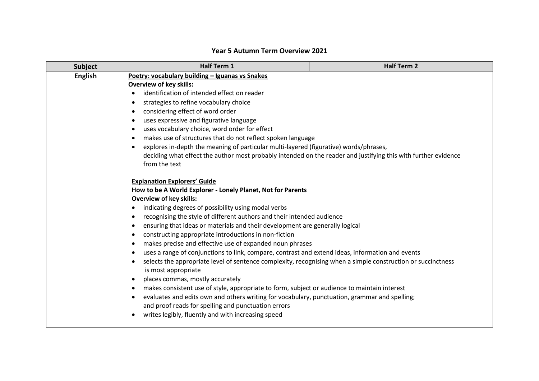| <b>Subject</b>                                                                                                            | Half Term 1                                                                                                                                                                                                                                                                                                                                           | <b>Half Term 2</b> |
|---------------------------------------------------------------------------------------------------------------------------|-------------------------------------------------------------------------------------------------------------------------------------------------------------------------------------------------------------------------------------------------------------------------------------------------------------------------------------------------------|--------------------|
| <b>English</b>                                                                                                            | Poetry: vocabulary building - Iguanas vs Snakes<br><b>Overview of key skills:</b><br>identification of intended effect on reader<br>$\bullet$                                                                                                                                                                                                         |                    |
|                                                                                                                           |                                                                                                                                                                                                                                                                                                                                                       |                    |
|                                                                                                                           |                                                                                                                                                                                                                                                                                                                                                       |                    |
|                                                                                                                           | strategies to refine vocabulary choice<br>$\bullet$                                                                                                                                                                                                                                                                                                   |                    |
|                                                                                                                           | considering effect of word order<br>$\bullet$<br>uses expressive and figurative language<br>$\bullet$<br>uses vocabulary choice, word order for effect<br>$\bullet$<br>makes use of structures that do not reflect spoken language<br>$\bullet$<br>explores in-depth the meaning of particular multi-layered (figurative) words/phrases,<br>$\bullet$ |                    |
|                                                                                                                           |                                                                                                                                                                                                                                                                                                                                                       |                    |
|                                                                                                                           |                                                                                                                                                                                                                                                                                                                                                       |                    |
|                                                                                                                           |                                                                                                                                                                                                                                                                                                                                                       |                    |
|                                                                                                                           |                                                                                                                                                                                                                                                                                                                                                       |                    |
|                                                                                                                           | deciding what effect the author most probably intended on the reader and justifying this with further evidence                                                                                                                                                                                                                                        |                    |
|                                                                                                                           | from the text                                                                                                                                                                                                                                                                                                                                         |                    |
|                                                                                                                           |                                                                                                                                                                                                                                                                                                                                                       |                    |
|                                                                                                                           | <b>Explanation Explorers' Guide</b>                                                                                                                                                                                                                                                                                                                   |                    |
|                                                                                                                           | How to be A World Explorer - Lonely Planet, Not for Parents<br><b>Overview of key skills:</b>                                                                                                                                                                                                                                                         |                    |
|                                                                                                                           | indicating degrees of possibility using modal verbs<br>$\bullet$                                                                                                                                                                                                                                                                                      |                    |
|                                                                                                                           | recognising the style of different authors and their intended audience<br>$\bullet$                                                                                                                                                                                                                                                                   |                    |
|                                                                                                                           | ensuring that ideas or materials and their development are generally logical<br>$\bullet$                                                                                                                                                                                                                                                             |                    |
|                                                                                                                           | constructing appropriate introductions in non-fiction<br>$\bullet$                                                                                                                                                                                                                                                                                    |                    |
|                                                                                                                           | makes precise and effective use of expanded noun phrases<br>$\bullet$                                                                                                                                                                                                                                                                                 |                    |
|                                                                                                                           | uses a range of conjunctions to link, compare, contrast and extend ideas, information and events<br>$\bullet$                                                                                                                                                                                                                                         |                    |
| selects the appropriate level of sentence complexity, recognising when a simple construction or succinctness<br>$\bullet$ |                                                                                                                                                                                                                                                                                                                                                       |                    |
|                                                                                                                           | is most appropriate                                                                                                                                                                                                                                                                                                                                   |                    |
|                                                                                                                           | places commas, mostly accurately<br>$\bullet$                                                                                                                                                                                                                                                                                                         |                    |
|                                                                                                                           | makes consistent use of style, appropriate to form, subject or audience to maintain interest<br>$\bullet$                                                                                                                                                                                                                                             |                    |
|                                                                                                                           | evaluates and edits own and others writing for vocabulary, punctuation, grammar and spelling;                                                                                                                                                                                                                                                         |                    |
|                                                                                                                           | and proof reads for spelling and punctuation errors                                                                                                                                                                                                                                                                                                   |                    |
|                                                                                                                           | writes legibly, fluently and with increasing speed                                                                                                                                                                                                                                                                                                    |                    |
|                                                                                                                           |                                                                                                                                                                                                                                                                                                                                                       |                    |

## **Year 5 Autumn Term Overview 2021**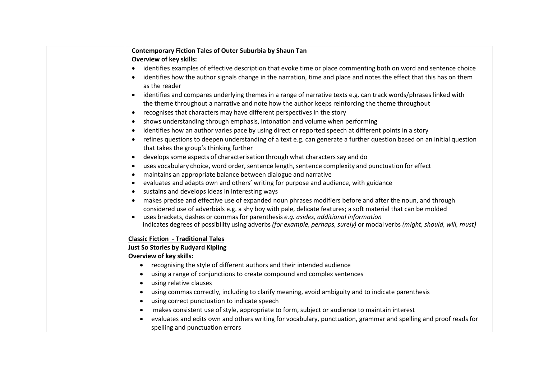| evaluates and edits own and others writing for vocabulary, punctuation, grammar and spelling and proof reads for |
|------------------------------------------------------------------------------------------------------------------|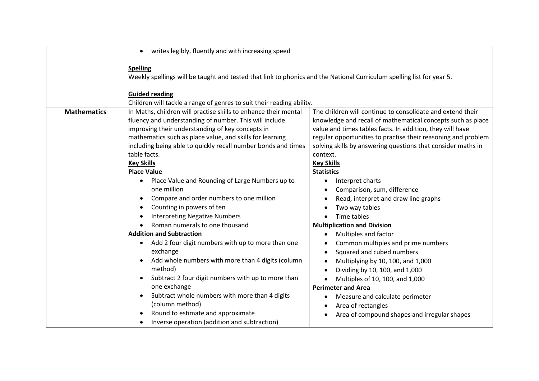|                    | writes legibly, fluently and with increasing speed                                                                                                                                                                                                                                                                                                                                                                                                                                                                                                                                                                                                                                                                                                                                                                                                                                                                                                                                                                                     |                                                                                                                                                                                                                                                                                                                                                                                                                                                                                                                                                                                                                                                                                                                                                                                                                                                                                                                                                                                |
|--------------------|----------------------------------------------------------------------------------------------------------------------------------------------------------------------------------------------------------------------------------------------------------------------------------------------------------------------------------------------------------------------------------------------------------------------------------------------------------------------------------------------------------------------------------------------------------------------------------------------------------------------------------------------------------------------------------------------------------------------------------------------------------------------------------------------------------------------------------------------------------------------------------------------------------------------------------------------------------------------------------------------------------------------------------------|--------------------------------------------------------------------------------------------------------------------------------------------------------------------------------------------------------------------------------------------------------------------------------------------------------------------------------------------------------------------------------------------------------------------------------------------------------------------------------------------------------------------------------------------------------------------------------------------------------------------------------------------------------------------------------------------------------------------------------------------------------------------------------------------------------------------------------------------------------------------------------------------------------------------------------------------------------------------------------|
|                    | <b>Spelling</b><br>Weekly spellings will be taught and tested that link to phonics and the National Curriculum spelling list for year 5.                                                                                                                                                                                                                                                                                                                                                                                                                                                                                                                                                                                                                                                                                                                                                                                                                                                                                               |                                                                                                                                                                                                                                                                                                                                                                                                                                                                                                                                                                                                                                                                                                                                                                                                                                                                                                                                                                                |
|                    | <b>Guided reading</b>                                                                                                                                                                                                                                                                                                                                                                                                                                                                                                                                                                                                                                                                                                                                                                                                                                                                                                                                                                                                                  |                                                                                                                                                                                                                                                                                                                                                                                                                                                                                                                                                                                                                                                                                                                                                                                                                                                                                                                                                                                |
| <b>Mathematics</b> | Children will tackle a range of genres to suit their reading ability.<br>In Maths, children will practise skills to enhance their mental<br>fluency and understanding of number. This will include<br>improving their understanding of key concepts in<br>mathematics such as place value, and skills for learning<br>including being able to quickly recall number bonds and times<br>table facts.<br><b>Key Skills</b><br><b>Place Value</b><br>Place Value and Rounding of Large Numbers up to<br>$\bullet$<br>one million<br>Compare and order numbers to one million<br>$\bullet$<br>Counting in powers of ten<br><b>Interpreting Negative Numbers</b><br>Roman numerals to one thousand<br><b>Addition and Subtraction</b><br>Add 2 four digit numbers with up to more than one<br>exchange<br>Add whole numbers with more than 4 digits (column<br>method)<br>Subtract 2 four digit numbers with up to more than<br>$\bullet$<br>one exchange<br>Subtract whole numbers with more than 4 digits<br>$\bullet$<br>(column method) | The children will continue to consolidate and extend their<br>knowledge and recall of mathematical concepts such as place<br>value and times tables facts. In addition, they will have<br>regular opportunities to practise their reasoning and problem<br>solving skills by answering questions that consider maths in<br>context.<br><b>Key Skills</b><br><b>Statistics</b><br>Interpret charts<br>٠<br>Comparison, sum, difference<br>٠<br>Read, interpret and draw line graphs<br>$\bullet$<br>Two way tables<br>$\bullet$<br>Time tables<br>$\bullet$<br><b>Multiplication and Division</b><br>Multiples and factor<br>$\bullet$<br>Common multiples and prime numbers<br>$\bullet$<br>Squared and cubed numbers<br>$\bullet$<br>Multiplying by 10, 100, and 1,000<br>$\bullet$<br>Dividing by 10, 100, and 1,000<br>$\bullet$<br>Multiples of 10, 100, and 1,000<br><b>Perimeter and Area</b><br>Measure and calculate perimeter<br>$\bullet$<br>Area of rectangles<br>٠ |
|                    | Round to estimate and approximate<br>Inverse operation (addition and subtraction)                                                                                                                                                                                                                                                                                                                                                                                                                                                                                                                                                                                                                                                                                                                                                                                                                                                                                                                                                      | Area of compound shapes and irregular shapes                                                                                                                                                                                                                                                                                                                                                                                                                                                                                                                                                                                                                                                                                                                                                                                                                                                                                                                                   |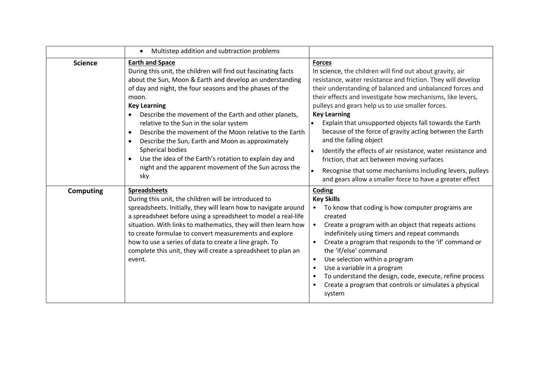|                  | Multistep addition and subtraction problems<br>$\bullet$                                                                                                                                                                                                                                                                                                                                                                                                                                                                                                                                                     |                                                                                                                                                                                                                                                                                                                                                                                                                                                                                                                                                                                                                                                                                                                    |
|------------------|--------------------------------------------------------------------------------------------------------------------------------------------------------------------------------------------------------------------------------------------------------------------------------------------------------------------------------------------------------------------------------------------------------------------------------------------------------------------------------------------------------------------------------------------------------------------------------------------------------------|--------------------------------------------------------------------------------------------------------------------------------------------------------------------------------------------------------------------------------------------------------------------------------------------------------------------------------------------------------------------------------------------------------------------------------------------------------------------------------------------------------------------------------------------------------------------------------------------------------------------------------------------------------------------------------------------------------------------|
| <b>Science</b>   | <b>Earth and Space</b><br>During this unit, the children will find out fascinating facts<br>about the Sun, Moon & Earth and develop an understanding<br>of day and night, the four seasons and the phases of the<br>moon.<br><b>Key Learning</b><br>Describe the movement of the Earth and other planets,<br>relative to the Sun in the solar system<br>Describe the movement of the Moon relative to the Earth<br>Describe the Sun, Earth and Moon as approximately<br>Spherical bodies<br>Use the idea of the Earth's rotation to explain day and<br>night and the apparent movement of the Sun across the | <b>Forces</b><br>In science, the children will find out about gravity, air<br>resistance, water resistance and friction. They will develop<br>their understanding of balanced and unbalanced forces and<br>their effects and investigate how mechanisms, like levers,<br>pulleys and gears help us to use smaller forces.<br><b>Key Learning</b><br>Explain that unsupported objects fall towards the Earth<br>$\bullet$<br>because of the force of gravity acting between the Earth<br>and the falling object<br>Identify the effects of air resistance, water resistance and<br>$\bullet$<br>friction, that act between moving surfaces<br>Recognise that some mechanisms including levers, pulleys<br>$\bullet$ |
| <b>Computing</b> | sky<br><b>Spreadsheets</b>                                                                                                                                                                                                                                                                                                                                                                                                                                                                                                                                                                                   | and gears allow a smaller force to have a greater effect<br>Coding                                                                                                                                                                                                                                                                                                                                                                                                                                                                                                                                                                                                                                                 |
|                  | During this unit, the children will be introduced to<br>spreadsheets. Initially, they will learn how to navigate around<br>a spreadsheet before using a spreadsheet to model a real-life<br>situation. With links to mathematics, they will then learn how<br>to create formulae to convert measurements and explore<br>how to use a series of data to create a line graph. To<br>complete this unit, they will create a spreadsheet to plan an<br>event.                                                                                                                                                    | <b>Key Skills</b><br>To know that coding is how computer programs are<br>$\bullet$<br>created<br>Create a program with an object that repeats actions<br>indefinitely using timers and repeat commands<br>Create a program that responds to the 'if' command or<br>the 'if/else' command<br>Use selection within a program<br>$\bullet$<br>Use a variable in a program<br>To understand the design, code, execute, refine process<br>Create a program that controls or simulates a physical<br>system                                                                                                                                                                                                              |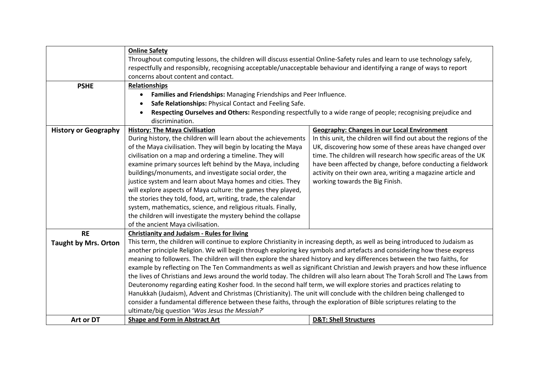|                             | <b>Online Safety</b>                                                                                                           |                                                                   |
|-----------------------------|--------------------------------------------------------------------------------------------------------------------------------|-------------------------------------------------------------------|
|                             | Throughout computing lessons, the children will discuss essential Online-Safety rules and learn to use technology safely,      |                                                                   |
|                             | respectfully and responsibly, recognising acceptable/unacceptable behaviour and identifying a range of ways to report          |                                                                   |
|                             | concerns about content and contact.                                                                                            |                                                                   |
| <b>PSHE</b>                 | <b>Relationships</b>                                                                                                           |                                                                   |
|                             | Families and Friendships: Managing Friendships and Peer Influence.                                                             |                                                                   |
|                             | Safe Relationships: Physical Contact and Feeling Safe.                                                                         |                                                                   |
|                             | Respecting Ourselves and Others: Responding respectfully to a wide range of people; recognising prejudice and                  |                                                                   |
|                             | discrimination.                                                                                                                |                                                                   |
| <b>History or Geography</b> | <b>History: The Maya Civilisation</b>                                                                                          | <b>Geography: Changes in our Local Environment</b>                |
|                             | During history, the children will learn about the achievements                                                                 | In this unit, the children will find out about the regions of the |
|                             | of the Maya civilisation. They will begin by locating the Maya                                                                 | UK, discovering how some of these areas have changed over         |
|                             | civilisation on a map and ordering a timeline. They will                                                                       | time. The children will research how specific areas of the UK     |
|                             | examine primary sources left behind by the Maya, including                                                                     | have been affected by change, before conducting a fieldwork       |
|                             | buildings/monuments, and investigate social order, the                                                                         | activity on their own area, writing a magazine article and        |
|                             | justice system and learn about Maya homes and cities. They                                                                     | working towards the Big Finish.                                   |
|                             | will explore aspects of Maya culture: the games they played,                                                                   |                                                                   |
|                             | the stories they told, food, art, writing, trade, the calendar                                                                 |                                                                   |
|                             | system, mathematics, science, and religious rituals. Finally,                                                                  |                                                                   |
|                             | the children will investigate the mystery behind the collapse                                                                  |                                                                   |
|                             | of the ancient Maya civilisation.                                                                                              |                                                                   |
| <b>RE</b>                   | <b>Christianity and Judaism - Rules for living</b>                                                                             |                                                                   |
| <b>Taught by Mrs. Orton</b> | This term, the children will continue to explore Christianity in increasing depth, as well as being introduced to Judaism as   |                                                                   |
|                             | another principle Religion. We will begin through exploring key symbols and artefacts and considering how these express        |                                                                   |
|                             | meaning to followers. The children will then explore the shared history and key differences between the two faiths, for        |                                                                   |
|                             | example by reflecting on The Ten Commandments as well as significant Christian and Jewish prayers and how these influence      |                                                                   |
|                             | the lives of Christians and Jews around the world today. The children will also learn about The Torah Scroll and The Laws from |                                                                   |
|                             | Deuteronomy regarding eating Kosher food. In the second half term, we will explore stories and practices relating to           |                                                                   |
|                             | Hanukkah (Judaism), Advent and Christmas (Christianity). The unit will conclude with the children being challenged to          |                                                                   |
|                             | consider a fundamental difference between these faiths, through the exploration of Bible scriptures relating to the            |                                                                   |
|                             | ultimate/big question 'Was Jesus the Messiah?'                                                                                 |                                                                   |
| Art or DT                   | <b>Shape and Form in Abstract Art</b>                                                                                          | <b>D&amp;T: Shell Structures</b>                                  |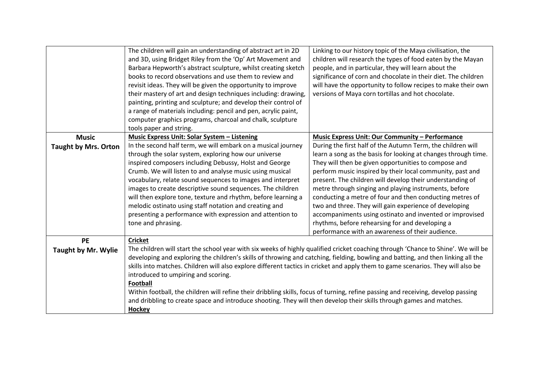|                                             | The children will gain an understanding of abstract art in 2D<br>and 3D, using Bridget Riley from the 'Op' Art Movement and<br>Barbara Hepworth's abstract sculpture, whilst creating sketch<br>books to record observations and use them to review and<br>revisit ideas. They will be given the opportunity to improve<br>their mastery of art and design techniques including: drawing,<br>painting, printing and sculpture; and develop their control of<br>a range of materials including: pencil and pen, acrylic paint,<br>computer graphics programs, charcoal and chalk, sculpture                                                                                                                                                                   | Linking to our history topic of the Maya civilisation, the<br>children will research the types of food eaten by the Mayan<br>people, and in particular, they will learn about the<br>significance of corn and chocolate in their diet. The children<br>will have the opportunity to follow recipes to make their own<br>versions of Maya corn tortillas and hot chocolate.                                                                                                                                                                                                                                                                                                                                                  |
|---------------------------------------------|--------------------------------------------------------------------------------------------------------------------------------------------------------------------------------------------------------------------------------------------------------------------------------------------------------------------------------------------------------------------------------------------------------------------------------------------------------------------------------------------------------------------------------------------------------------------------------------------------------------------------------------------------------------------------------------------------------------------------------------------------------------|-----------------------------------------------------------------------------------------------------------------------------------------------------------------------------------------------------------------------------------------------------------------------------------------------------------------------------------------------------------------------------------------------------------------------------------------------------------------------------------------------------------------------------------------------------------------------------------------------------------------------------------------------------------------------------------------------------------------------------|
|                                             | tools paper and string.                                                                                                                                                                                                                                                                                                                                                                                                                                                                                                                                                                                                                                                                                                                                      |                                                                                                                                                                                                                                                                                                                                                                                                                                                                                                                                                                                                                                                                                                                             |
| <b>Music</b><br><b>Taught by Mrs. Orton</b> | <b>Music Express Unit: Solar System - Listening</b><br>In the second half term, we will embark on a musical journey<br>through the solar system, exploring how our universe<br>inspired composers including Debussy, Holst and George<br>Crumb. We will listen to and analyse music using musical<br>vocabulary, relate sound sequences to images and interpret<br>images to create descriptive sound sequences. The children<br>will then explore tone, texture and rhythm, before learning a<br>melodic ostinato using staff notation and creating and<br>presenting a performance with expression and attention to<br>tone and phrasing.                                                                                                                  | <b>Music Express Unit: Our Community - Performance</b><br>During the first half of the Autumn Term, the children will<br>learn a song as the basis for looking at changes through time.<br>They will then be given opportunities to compose and<br>perform music inspired by their local community, past and<br>present. The children will develop their understanding of<br>metre through singing and playing instruments, before<br>conducting a metre of four and then conducting metres of<br>two and three. They will gain experience of developing<br>accompaniments using ostinato and invented or improvised<br>rhythms, before rehearsing for and developing a<br>performance with an awareness of their audience. |
| <b>PE</b><br><b>Taught by Mr. Wylie</b>     | <b>Cricket</b><br>The children will start the school year with six weeks of highly qualified cricket coaching through 'Chance to Shine'. We will be<br>developing and exploring the children's skills of throwing and catching, fielding, bowling and batting, and then linking all the<br>skills into matches. Children will also explore different tactics in cricket and apply them to game scenarios. They will also be<br>introduced to umpiring and scoring.<br><b>Football</b><br>Within football, the children will refine their dribbling skills, focus of turning, refine passing and receiving, develop passing<br>and dribbling to create space and introduce shooting. They will then develop their skills through games and matches.<br>Hockey |                                                                                                                                                                                                                                                                                                                                                                                                                                                                                                                                                                                                                                                                                                                             |